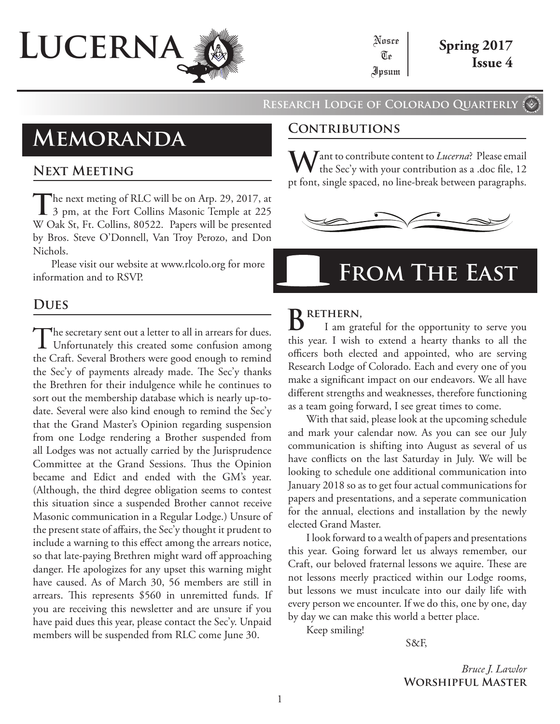

### **Research Lodge of Colorado Quarterly**

# **Memoranda**

### **Next Meeting**

The next meting of RLC will be on Arp. 29, 2017, at 3 pm, at the Fort Collins Masonic Temple at 225 W Oak St, Ft. Collins, 80522. Papers will be presented by Bros. Steve O'Donnell, Van Troy Perozo, and Don Nichols.

Please visit our website at www.rlcolo.org for more information and to RSVP.

## **Dues**

The secretary sent out a letter to all in arrears for dues.<br>Unfortunately this created some confusion among the Craft. Several Brothers were good enough to remind the Sec'y of payments already made. The Sec'y thanks the Brethren for their indulgence while he continues to sort out the membership database which is nearly up-todate. Several were also kind enough to remind the Sec'y that the Grand Master's Opinion regarding suspension from one Lodge rendering a Brother suspended from all Lodges was not actually carried by the Jurisprudence Committee at the Grand Sessions. Thus the Opinion became and Edict and ended with the GM's year. (Although, the third degree obligation seems to contest this situation since a suspended Brother cannot receive Masonic communication in a Regular Lodge.) Unsure of the present state of affairs, the Sec'y thought it prudent to include a warning to this effect among the arrears notice, so that late-paying Brethren might ward off approaching danger. He apologizes for any upset this warning might have caused. As of March 30, 56 members are still in arrears. This represents \$560 in unremitted funds. If you are receiving this newsletter and are unsure if you have paid dues this year, please contact the Sec'y. Unpaid members will be suspended from RLC come June 30.

### **Contributions**

**W**ant to contribute content to *Lucerna*? Please email the Sec'y with your contribution as a .doc file, 12 pt font, single spaced, no line-break between paragraphs.



# **From The East**

# **Brethern,**

I am grateful for the opportunity to serve you this year. I wish to extend a hearty thanks to all the officers both elected and appointed, who are serving Research Lodge of Colorado. Each and every one of you make a significant impact on our endeavors. We all have different strengths and weaknesses, therefore functioning as a team going forward, I see great times to come.

With that said, please look at the upcoming schedule and mark your calendar now. As you can see our July communication is shifting into August as several of us have conflicts on the last Saturday in July. We will be looking to schedule one additional communication into January 2018 so as to get four actual communications for papers and presentations, and a seperate communication for the annual, elections and installation by the newly elected Grand Master.

I look forward to a wealth of papers and presentations this year. Going forward let us always remember, our Craft, our beloved fraternal lessons we aquire. These are not lessons meerly practiced within our Lodge rooms, but lessons we must inculcate into our daily life with every person we encounter. If we do this, one by one, day by day we can make this world a better place.

Keep smiling!

S&F,

*Bruce J. Lawlor* **Worshipful Master**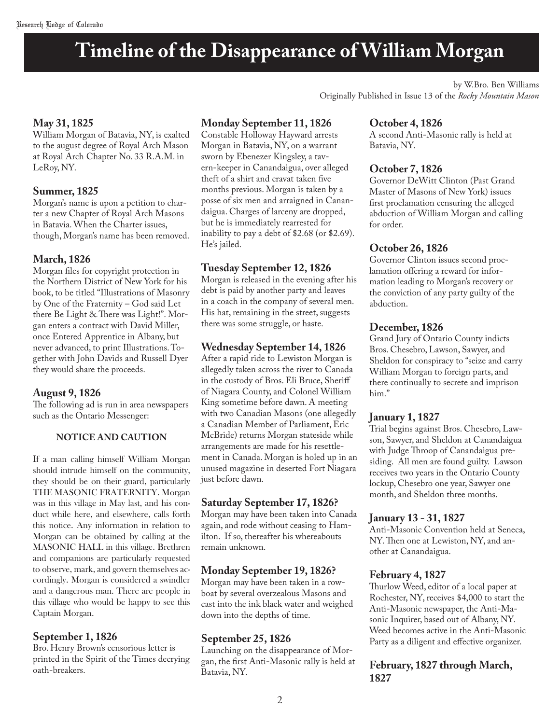# **Timeline of the Disappearance of William Morgan**

by W.Bro. Ben Williams Originally Published in Issue 13 of the *Rocky Mountain Mason*

#### **May 31, 1825**

William Morgan of Batavia, NY, is exalted to the august degree of Royal Arch Mason at Royal Arch Chapter No. 33 R.A.M. in LeRoy, NY.

#### **Summer, 1825**

Morgan's name is upon a petition to charter a new Chapter of Royal Arch Masons in Batavia. When the Charter issues, though, Morgan's name has been removed.

#### **March, 1826**

Morgan files for copyright protection in the Northern District of New York for his book, to be titled "Illustrations of Masonry by One of the Fraternity – God said Let there Be Light & There was Light!". Morgan enters a contract with David Miller, once Entered Apprentice in Albany, but never advanced, to print Illustrations. Together with John Davids and Russell Dyer they would share the proceeds.

#### **August 9, 1826**

The following ad is run in area newspapers such as the Ontario Messenger:

#### **NOTICE AND CAUTION**

If a man calling himself William Morgan should intrude himself on the community, they should be on their guard, particularly THE MASONIC FRATERNITY. Morgan was in this village in May last, and his conduct while here, and elsewhere, calls forth this notice. Any information in relation to Morgan can be obtained by calling at the MASONIC HALL in this village. Brethren and companions are particularly requested to observe, mark, and govern themselves accordingly. Morgan is considered a swindler and a dangerous man. There are people in this village who would be happy to see this Captain Morgan.

#### **September 1, 1826**

Bro. Henry Brown's censorious letter is printed in the Spirit of the Times decrying oath-breakers.

#### **Monday September 11, 1826**

Constable Holloway Hayward arrests Morgan in Batavia, NY, on a warrant sworn by Ebenezer Kingsley, a tavern-keeper in Canandaigua, over alleged theft of a shirt and cravat taken five months previous. Morgan is taken by a posse of six men and arraigned in Canandaigua. Charges of larceny are dropped, but he is immediately rearrested for inability to pay a debt of \$2.68 (or \$2.69). He's jailed.

#### **Tuesday September 12, 1826**

Morgan is released in the evening after his debt is paid by another party and leaves in a coach in the company of several men. His hat, remaining in the street, suggests there was some struggle, or haste.

#### **Wednesday September 14, 1826**

After a rapid ride to Lewiston Morgan is allegedly taken across the river to Canada in the custody of Bros. Eli Bruce, Sheriff of Niagara County, and Colonel William King sometime before dawn. A meeting with two Canadian Masons (one allegedly a Canadian Member of Parliament, Eric McBride) returns Morgan stateside while arrangements are made for his resettlement in Canada. Morgan is holed up in an unused magazine in deserted Fort Niagara just before dawn.

#### **Saturday September 17, 1826?**

Morgan may have been taken into Canada again, and rode without ceasing to Hamilton. If so, thereafter his whereabouts remain unknown.

#### **Monday September 19, 1826?**

Morgan may have been taken in a rowboat by several overzealous Masons and cast into the ink black water and weighed down into the depths of time.

#### **September 25, 1826**

Launching on the disappearance of Morgan, the first Anti-Masonic rally is held at Batavia, NY.

#### **October 4, 1826**

A second Anti-Masonic rally is held at Batavia, NY.

#### **October 7, 1826**

Governor DeWitt Clinton (Past Grand Master of Masons of New York) issues first proclamation censuring the alleged abduction of William Morgan and calling for order.

#### **October 26, 1826**

Governor Clinton issues second proclamation offering a reward for information leading to Morgan's recovery or the conviction of any party guilty of the abduction.

#### **December, 1826**

Grand Jury of Ontario County indicts Bros. Chesebro, Lawson, Sawyer, and Sheldon for conspiracy to "seize and carry William Morgan to foreign parts, and there continually to secrete and imprison him."

#### **January 1, 1827**

Trial begins against Bros. Chesebro, Lawson, Sawyer, and Sheldon at Canandaigua with Judge Throop of Canandaigua presiding. All men are found guilty. Lawson receives two years in the Ontario County lockup, Chesebro one year, Sawyer one month, and Sheldon three months.

#### **January 13 - 31, 1827**

Anti-Masonic Convention held at Seneca, NY. Then one at Lewiston, NY, and another at Canandaigua.

#### **February 4, 1827**

Thurlow Weed, editor of a local paper at Rochester, NY, receives \$4,000 to start the Anti-Masonic newspaper, the Anti-Masonic Inquirer, based out of Albany, NY. Weed becomes active in the Anti-Masonic Party as a diligent and effective organizer.

#### **February, 1827 through March, 1827**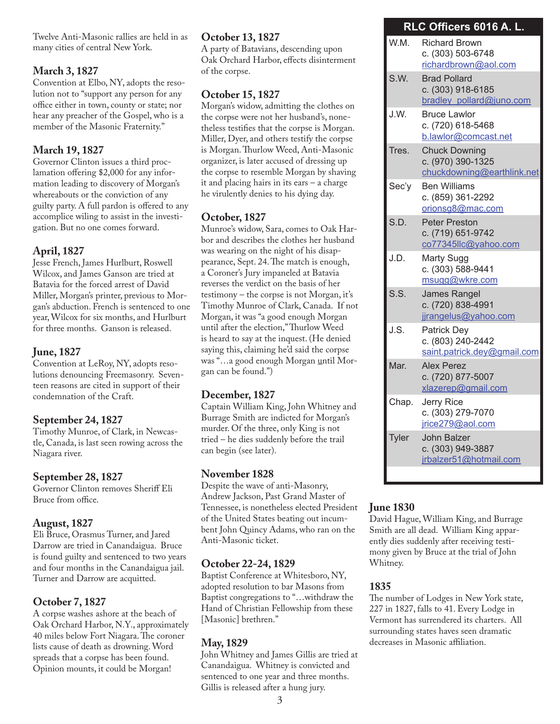Twelve Anti-Masonic rallies are held in as many cities of central New York.

#### **March 3, 1827**

Convention at Elbo, NY, adopts the resolution not to "support any person for any office either in town, county or state; nor hear any preacher of the Gospel, who is a member of the Masonic Fraternity."

#### **March 19, 1827**

Governor Clinton issues a third proclamation offering \$2,000 for any information leading to discovery of Morgan's whereabouts or the conviction of any guilty party. A full pardon is offered to any accomplice wiling to assist in the investigation. But no one comes forward.

#### **April, 1827**

Jesse French, James Hurlburt, Roswell Wilcox, and James Ganson are tried at Batavia for the forced arrest of David Miller, Morgan's printer, previous to Morgan's abduction. French is sentenced to one year, Wilcox for six months, and Hurlburt for three months. Ganson is released.

#### **June, 1827**

Convention at LeRoy, NY, adopts resolutions denouncing Freemasonry. Seventeen reasons are cited in support of their condemnation of the Craft.

#### **September 24, 1827**

Timothy Munroe, of Clark, in Newcastle, Canada, is last seen rowing across the Niagara river.

#### **September 28, 1827**

Governor Clinton removes Sheriff Eli Bruce from office.

#### **August, 1827**

Eli Bruce, Orasmus Turner, and Jared Darrow are tried in Canandaigua. Bruce is found guilty and sentenced to two years and four months in the Canandaigua jail. Turner and Darrow are acquitted.

#### **October 7, 1827**

A corpse washes ashore at the beach of Oak Orchard Harbor, N.Y., approximately 40 miles below Fort Niagara. The coroner lists cause of death as drowning. Word spreads that a corpse has been found. Opinion mounts, it could be Morgan!

#### **October 13, 1827**

A party of Batavians, descending upon Oak Orchard Harbor, effects disinterment of the corpse.

#### **October 15, 1827**

Morgan's widow, admitting the clothes on the corpse were not her husband's, nonetheless testifies that the corpse is Morgan. Miller, Dyer, and others testify the corpse is Morgan. Thurlow Weed, Anti-Masonic organizer, is later accused of dressing up the corpse to resemble Morgan by shaving it and placing hairs in its ears – a charge he virulently denies to his dying day.

#### **October, 1827**

Munroe's widow, Sara, comes to Oak Harbor and describes the clothes her husband was wearing on the night of his disappearance, Sept. 24. The match is enough, a Coroner's Jury impaneled at Batavia reverses the verdict on the basis of her testimony – the corpse is not Morgan, it's Timothy Munroe of Clark, Canada. If not Morgan, it was "a good enough Morgan until after the election," Thurlow Weed is heard to say at the inquest. (He denied saying this, claiming he'd said the corpse was "…a good enough Morgan <u>u</u>ntil Morgan can be found.")

#### **December, 1827**

Captain William King, John Whitney and Burrage Smith are indicted for Morgan's murder. Of the three, only King is not tried – he dies suddenly before the trail can begin (see later).

#### **November 1828**

Despite the wave of anti-Masonry, Andrew Jackson, Past Grand Master of Tennessee, is nonetheless elected President of the United States beating out incumbent John Quincy Adams, who ran on the Anti-Masonic ticket.

#### **October 22-24, 1829**

Baptist Conference at Whitesboro, NY, adopted resolution to bar Masons from Baptist congregations to "…withdraw the Hand of Christian Fellowship from these [Masonic] brethren."

#### **May, 1829**

John Whitney and James Gillis are tried at Canandaigua. Whitney is convicted and sentenced to one year and three months. Gillis is released after a hung jury.

#### **RLC Officers 6016 A. L.**

| W.M.  | <b>Richard Brown</b><br>c. (303) 503-6748<br>richardbrown@aol.com       |
|-------|-------------------------------------------------------------------------|
| S.W.  | <b>Brad Pollard</b><br>c. (303) 918-6185<br>bradley pollard@juno.com    |
| J.W.  | <b>Bruce Lawlor</b><br>c. (720) 618-5468<br>b.lawlor@comcast.net        |
| Tres. | <b>Chuck Downing</b><br>c. (970) 390-1325<br>chuckdowning@earthlink.net |
| Sec'y | <b>Ben Williams</b><br>c. (859) 361-2292<br>orionsg8@mac.com            |
| S.D.  | <b>Peter Preston</b><br>c. (719) 651-9742<br>co77345llc@yahoo.com       |
| J.D.  | Marty Sugg<br>c. (303) 588-9441<br>msugg@wkre.com                       |
| S.S.  | James Rangel<br>c. (720) 838-4991<br>jjrangelus@yahoo.com               |
| J.S.  | <b>Patrick Dey</b><br>c. (803) 240-2442<br>saint.patrick.dey@gmail.com  |
| Mar.  | <b>Alex Perez</b><br>c. (720) 877-5007<br>xlazerep@gmail.com            |
| Chap. | <b>Jerry Rice</b><br>c. (303) 279-7070<br>jrice279@aol.com              |
| Tyler | John Balzer<br>c. (303) 949-3887<br>jrbalzer51@hotmail.com              |
|       |                                                                         |

#### **June 1830**

David Hague, William King, and Burrage Smith are all dead. William King apparently dies suddenly after receiving testimony given by Bruce at the trial of John Whitney.

#### **1835**

The number of Lodges in New York state, 227 in 1827, falls to 41. Every Lodge in Vermont has surrendered its charters. All surrounding states haves seen dramatic decreases in Masonic affiliation.